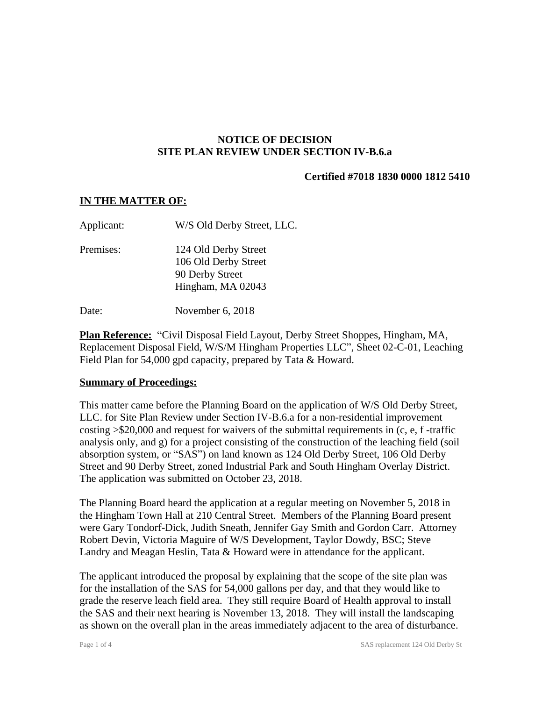### **NOTICE OF DECISION SITE PLAN REVIEW UNDER SECTION IV-B.6.a**

### **Certified #7018 1830 0000 1812 5410**

#### **IN THE MATTER OF:**

| Applicant: | W/S Old Derby Street, LLC.                                                           |
|------------|--------------------------------------------------------------------------------------|
| Premises:  | 124 Old Derby Street<br>106 Old Derby Street<br>90 Derby Street<br>Hingham, MA 02043 |
|            |                                                                                      |

Date: November 6, 2018

**Plan Reference:** "Civil Disposal Field Layout, Derby Street Shoppes, Hingham, MA, Replacement Disposal Field, W/S/M Hingham Properties LLC", Sheet 02-C-01, Leaching Field Plan for 54,000 gpd capacity, prepared by Tata & Howard.

### **Summary of Proceedings:**

This matter came before the Planning Board on the application of W/S Old Derby Street, LLC. for Site Plan Review under Section IV-B.6.a for a non-residential improvement costing >\$20,000 and request for waivers of the submittal requirements in (c, e, f -traffic analysis only, and g) for a project consisting of the construction of the leaching field (soil absorption system, or "SAS") on land known as 124 Old Derby Street, 106 Old Derby Street and 90 Derby Street, zoned Industrial Park and South Hingham Overlay District. The application was submitted on October 23, 2018.

The Planning Board heard the application at a regular meeting on November 5, 2018 in the Hingham Town Hall at 210 Central Street. Members of the Planning Board present were Gary Tondorf-Dick, Judith Sneath, Jennifer Gay Smith and Gordon Carr. Attorney Robert Devin, Victoria Maguire of W/S Development, Taylor Dowdy, BSC; Steve Landry and Meagan Heslin, Tata & Howard were in attendance for the applicant.

The applicant introduced the proposal by explaining that the scope of the site plan was for the installation of the SAS for 54,000 gallons per day, and that they would like to grade the reserve leach field area. They still require Board of Health approval to install the SAS and their next hearing is November 13, 2018. They will install the landscaping as shown on the overall plan in the areas immediately adjacent to the area of disturbance.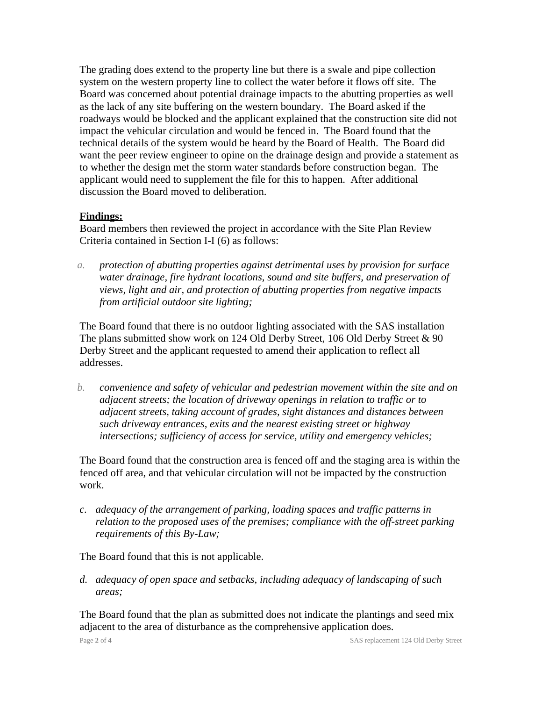The grading does extend to the property line but there is a swale and pipe collection system on the western property line to collect the water before it flows off site. The Board was concerned about potential drainage impacts to the abutting properties as well as the lack of any site buffering on the western boundary. The Board asked if the roadways would be blocked and the applicant explained that the construction site did not impact the vehicular circulation and would be fenced in. The Board found that the technical details of the system would be heard by the Board of Health. The Board did want the peer review engineer to opine on the drainage design and provide a statement as to whether the design met the storm water standards before construction began. The applicant would need to supplement the file for this to happen. After additional discussion the Board moved to deliberation.

## **Findings:**

Board members then reviewed the project in accordance with the Site Plan Review Criteria contained in Section I-I (6) as follows:

*a. protection of abutting properties against detrimental uses by provision for surface water drainage, fire hydrant locations, sound and site buffers, and preservation of views, light and air, and protection of abutting properties from negative impacts from artificial outdoor site lighting;*

The Board found that there is no outdoor lighting associated with the SAS installation The plans submitted show work on 124 Old Derby Street, 106 Old Derby Street & 90 Derby Street and the applicant requested to amend their application to reflect all addresses.

*b. convenience and safety of vehicular and pedestrian movement within the site and on adjacent streets; the location of driveway openings in relation to traffic or to adjacent streets, taking account of grades, sight distances and distances between such driveway entrances, exits and the nearest existing street or highway intersections; sufficiency of access for service, utility and emergency vehicles;*

The Board found that the construction area is fenced off and the staging area is within the fenced off area, and that vehicular circulation will not be impacted by the construction work.

*c. adequacy of the arrangement of parking, loading spaces and traffic patterns in relation to the proposed uses of the premises; compliance with the off-street parking requirements of this By-Law;*

The Board found that this is not applicable.

*d. adequacy of open space and setbacks, including adequacy of landscaping of such areas;*

The Board found that the plan as submitted does not indicate the plantings and seed mix adjacent to the area of disturbance as the comprehensive application does.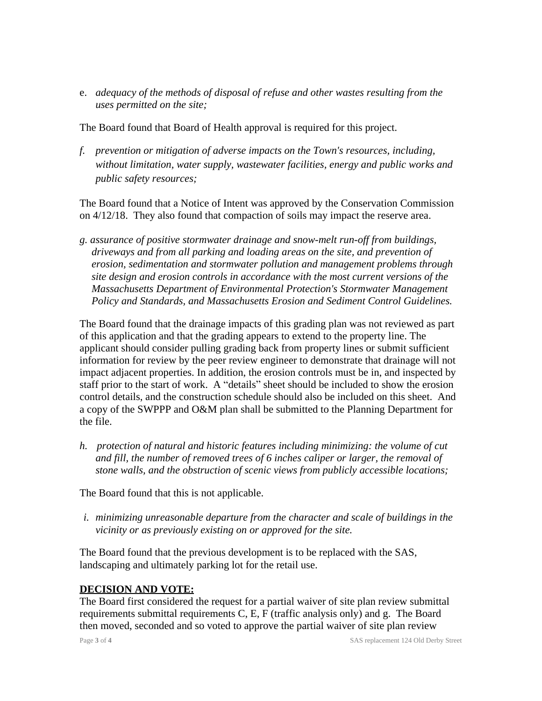e. *adequacy of the methods of disposal of refuse and other wastes resulting from the uses permitted on the site;*

The Board found that Board of Health approval is required for this project.

*f. prevention or mitigation of adverse impacts on the Town's resources, including, without limitation, water supply, wastewater facilities, energy and public works and public safety resources;*

The Board found that a Notice of Intent was approved by the Conservation Commission on 4/12/18. They also found that compaction of soils may impact the reserve area.

*g. assurance of positive stormwater drainage and snow-melt run-off from buildings, driveways and from all parking and loading areas on the site, and prevention of erosion, sedimentation and stormwater pollution and management problems through site design and erosion controls in accordance with the most current versions of the Massachusetts Department of Environmental Protection's Stormwater Management Policy and Standards, and Massachusetts Erosion and Sediment Control Guidelines.*

The Board found that the drainage impacts of this grading plan was not reviewed as part of this application and that the grading appears to extend to the property line. The applicant should consider pulling grading back from property lines or submit sufficient information for review by the peer review engineer to demonstrate that drainage will not impact adjacent properties. In addition, the erosion controls must be in, and inspected by staff prior to the start of work. A "details" sheet should be included to show the erosion control details, and the construction schedule should also be included on this sheet. And a copy of the SWPPP and O&M plan shall be submitted to the Planning Department for the file.

*h. protection of natural and historic features including minimizing: the volume of cut and fill, the number of removed trees of 6 inches caliper or larger, the removal of stone walls, and the obstruction of scenic views from publicly accessible locations;*

The Board found that this is not applicable.

*i. minimizing unreasonable departure from the character and scale of buildings in the vicinity or as previously existing on or approved for the site.*

The Board found that the previous development is to be replaced with the SAS, landscaping and ultimately parking lot for the retail use.

# **DECISION AND VOTE:**

The Board first considered the request for a partial waiver of site plan review submittal requirements submittal requirements C, E, F (traffic analysis only) and g. The Board then moved, seconded and so voted to approve the partial waiver of site plan review